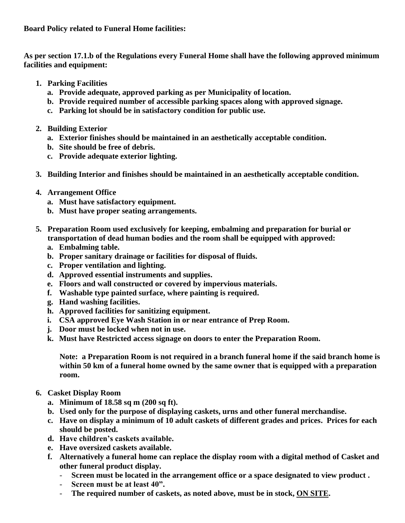**As per section 17.1.b of the Regulations every Funeral Home shall have the following approved minimum facilities and equipment:**

- **1. Parking Facilities** 
	- **a. Provide adequate, approved parking as per Municipality of location.**
	- **b. Provide required number of accessible parking spaces along with approved signage.**
	- **c. Parking lot should be in satisfactory condition for public use.**
- **2. Building Exterior** 
	- **a. Exterior finishes should be maintained in an aesthetically acceptable condition.**
	- **b. Site should be free of debris.**
	- **c. Provide adequate exterior lighting.**
- **3. Building Interior and finishes should be maintained in an aesthetically acceptable condition.**
- **4. Arrangement Office**
	- **a. Must have satisfactory equipment.**
	- **b. Must have proper seating arrangements.**
- **5. Preparation Room used exclusively for keeping, embalming and preparation for burial or transportation of dead human bodies and the room shall be equipped with approved:**
	- **a. Embalming table.**
	- **b. Proper sanitary drainage or facilities for disposal of fluids.**
	- **c. Proper ventilation and lighting.**
	- **d. Approved essential instruments and supplies.**
	- **e. Floors and wall constructed or covered by impervious materials.**
	- **f. Washable type painted surface, where painting is required.**
	- **g. Hand washing facilities.**
	- **h. Approved facilities for sanitizing equipment.**
	- **i. CSA approved Eye Wash Station in or near entrance of Prep Room.**
	- **j. Door must be locked when not in use.**
	- **k. Must have Restricted access signage on doors to enter the Preparation Room.**

**Note: a Preparation Room is not required in a branch funeral home if the said branch home is within 50 km of a funeral home owned by the same owner that is equipped with a preparation room.**

- **6. Casket Display Room**
	- **a. Minimum of 18.58 sq m (200 sq ft).**
	- **b. Used only for the purpose of displaying caskets, urns and other funeral merchandise.**
	- **c. Have on display a minimum of 10 adult caskets of different grades and prices. Prices for each should be posted.**
	- **d. Have children's caskets available.**
	- **e. Have oversized caskets available.**
	- **f. Alternatively a funeral home can replace the display room with a digital method of Casket and other funeral product display.**
		- **Screen must be located in the arrangement office or a space designated to view product .**
		- **Screen must be at least 40".**
		- **The required number of caskets, as noted above, must be in stock, ON SITE.**